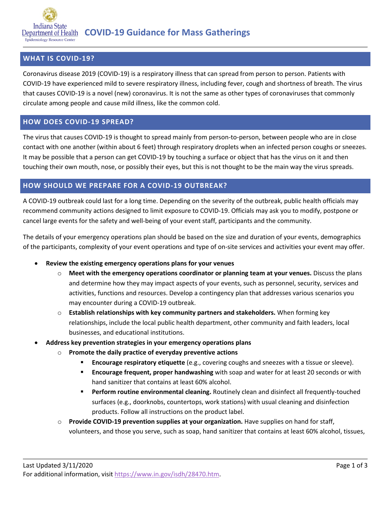

### **WHAT IS COVID-19?**

Coronavirus disease 2019 (COVID-19) is a respiratory illness that can spread from person to person. Patients with COVID-19 have experienced mild to severe respiratory illness, including fever, cough and shortness of breath. The virus that causes COVID-19 is a novel (new) coronavirus. It is not the same as other types of coronaviruses that commonly circulate among people and cause mild illness, like the common cold.

### **HOW DOES COVID-19 SPREAD?**

The virus that causes COVID-19 is thought to spread mainly from person-to-person, between people who are in close contact with one another (within about 6 feet) through respiratory droplets when an infected person coughs or sneezes. It may be possible that a person can get COVID-19 by touching a surface or object that has the virus on it and then touching their own mouth, nose, or possibly their eyes, but this is not thought to be the main way the virus spreads.

### **HOW SHOULD WE PREPARE FOR A COVID-19 OUTBREAK?**

A COVID-19 outbreak could last for a long time. Depending on the severity of the outbreak, public health officials may recommend community actions designed to limit exposure to COVID-19. Officials may ask you to modify, postpone or cancel large events for the safety and well-being of your event staff, participants and the community.

The details of your emergency operations plan should be based on the size and duration of your events, demographics of the participants, complexity of your event operations and type of on-site services and activities your event may offer.

- **Review the existing emergency operations plans for your venues**
	- o **Meet with the emergency operations coordinator or planning team at your venues.** Discuss the plans and determine how they may impact aspects of your events, such as personnel, security, services and activities, functions and resources. Develop a contingency plan that addresses various scenarios you may encounter during a COVID-19 outbreak.
	- o **Establish relationships with key community partners and stakeholders.** When forming key relationships, include the local public health department, other community and faith leaders, local businesses, and educational institutions.
- **Address key prevention strategies in your emergency operations plans**
	- o **Promote the daily practice of everyday preventive actions**
		- **Encourage respiratory etiquette** (e.g., covering coughs and sneezes with a tissue or sleeve).
		- **Encourage frequent, proper handwashing** with soap and water for at least 20 seconds or with hand sanitizer that contains at least 60% alcohol.
		- **Perform routine environmental cleaning.** Routinely clean and disinfect all frequently-touched surfaces (e.g., doorknobs, countertops, work stations) with usual cleaning and disinfection products. Follow all instructions on the product label.
	- o **Provide COVID-19 prevention supplies at your organization.** Have supplies on hand for staff, volunteers, and those you serve, such as soap, hand sanitizer that contains at least 60% alcohol, tissues,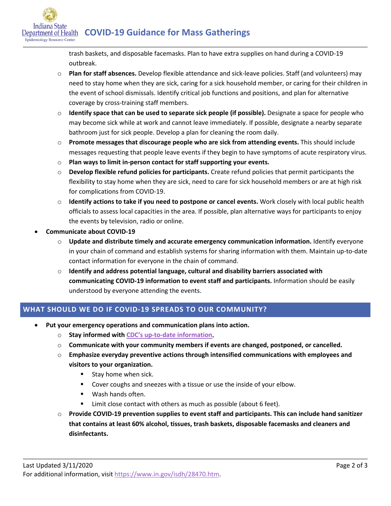**COVID-19 Guidance for Mass Gatherings**

trash baskets, and disposable facemasks. Plan to have extra supplies on hand during a COVID-19 outbreak.

- o **Plan for staff absences.** Develop flexible attendance and sick-leave policies. Staff (and volunteers) may need to stay home when they are sick, caring for a sick household member, or caring for their children in the event of school dismissals. Identify critical job functions and positions, and plan for alternative coverage by cross-training staff members.
- o **Identify space that can be used to separate sick people (if possible).** Designate a space for people who may become sick while at work and cannot leave immediately. If possible, designate a nearby separate bathroom just for sick people. Develop a plan for cleaning the room daily.
- o **Promote messages that discourage people who are sick from attending events.** This should include messages requesting that people leave events if they begin to have symptoms of acute respiratory virus.
- o **Plan ways to limit in-person contact for staff supporting your events.**
- o **Develop flexible refund policies for participants.** Create refund policies that permit participants the flexibility to stay home when they are sick, need to care for sick household members or are at high risk for complications from COVID-19.
- o **Identify actions to take if you need to postpone or cancel events.** Work closely with local public health officials to assess local capacities in the area. If possible, plan alternative ways for participants to enjoy the events by television, radio or online.
- **Communicate about COVID-19**

Indiana State Epidemiology Resource Center

- o **Update and distribute timely and accurate emergency communication information.** Identify everyone in your chain of command and establish systems for sharing information with them. Maintain up-to-date contact information for everyone in the chain of command.
- o **Identify and address potential language, cultural and disability barriers associated with communicating COVID-19 information to event staff and participants.** Information should be easily understood by everyone attending the events.

# **WHAT SHOULD WE DO IF COVID-19 SPREADS TO OUR COMMUNITY?**

- **Put your emergency operations and communication plans into action.**
	- o **Stay informed with [CDC's up-to-date information.](https://www.cdc.gov/coronavirus/2019-ncov/index.html)**
	- o **Communicate with your community members if events are changed, postponed, or cancelled.**
	- o **Emphasize everyday preventive actions through intensified communications with employees and visitors to your organization.**
		- **Stay home when sick.**
		- Cover coughs and sneezes with a tissue or use the inside of your elbow.
		- **Wash hands often.**
		- Limit close contact with others as much as possible (about 6 feet).
	- o **Provide COVID-19 prevention supplies to event staff and participants. This can include hand sanitizer that contains at least 60% alcohol, tissues, trash baskets, disposable facemasks and cleaners and disinfectants.**